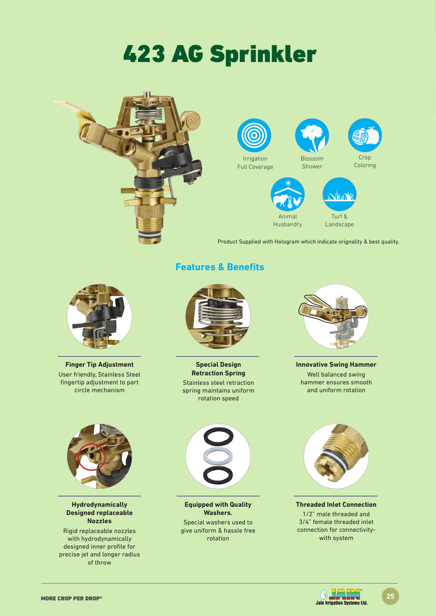# 423 AG Sprinkler





Product Supplied with Hologram which indicate orignality & best quality.



**Finger Tip Adjustment** User friendly, Stainless Steel fingertip adjustment to part circle mechanism

### **Features & Benefits**



**Special Design Retraction Spring** Stainless steel retraction spring maintains uniform rotation speed



**Innovative Swing Hammer** Well balanced swing hammer ensures smooth and uniform rotation



**Hydrodynamically Designed replaceable Nozzles**

Rigid replaceable nozzles with hydrodynamically designed inner profile for precise jet and longer radius of throw



**Equipped with Quality Washers.** Special washers used to give uniform & hassle free

rotation



**Threaded Inlet Connection** 1/2" male threaded and 3/4" female threaded inlet connection for connectivitywith system